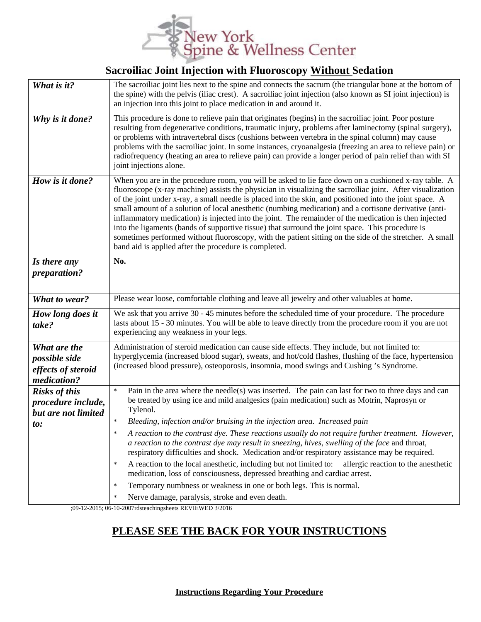

## **Sacroiliac Joint Injection with Fluoroscopy Without Sedation**

| What is it?                                                              | The sacroiliac joint lies next to the spine and connects the sacrum (the triangular bone at the bottom of<br>the spine) with the pelvis (iliac crest). A sacroiliac joint injection (also known as SI joint injection) is<br>an injection into this joint to place medication in and around it.                                                                                                                                                                                                                                                                                                                                                                                                                                                                                                                              |
|--------------------------------------------------------------------------|------------------------------------------------------------------------------------------------------------------------------------------------------------------------------------------------------------------------------------------------------------------------------------------------------------------------------------------------------------------------------------------------------------------------------------------------------------------------------------------------------------------------------------------------------------------------------------------------------------------------------------------------------------------------------------------------------------------------------------------------------------------------------------------------------------------------------|
| Why is it done?                                                          | This procedure is done to relieve pain that originates (begins) in the sacroiliac joint. Poor posture<br>resulting from degenerative conditions, traumatic injury, problems after laminectomy (spinal surgery),<br>or problems with intravertebral discs (cushions between vertebra in the spinal column) may cause<br>problems with the sacroiliac joint. In some instances, cryoanalgesia (freezing an area to relieve pain) or<br>radiofrequency (heating an area to relieve pain) can provide a longer period of pain relief than with SI<br>joint injections alone.                                                                                                                                                                                                                                                     |
| How is it done?                                                          | When you are in the procedure room, you will be asked to lie face down on a cushioned x-ray table. A<br>fluoroscope (x-ray machine) assists the physician in visualizing the sacroiliac joint. After visualization<br>of the joint under x-ray, a small needle is placed into the skin, and positioned into the joint space. A<br>small amount of a solution of local anesthetic (numbing medication) and a cortisone derivative (anti-<br>inflammatory medication) is injected into the joint. The remainder of the medication is then injected<br>into the ligaments (bands of supportive tissue) that surround the joint space. This procedure is<br>sometimes performed without fluoroscopy, with the patient sitting on the side of the stretcher. A small<br>band aid is applied after the procedure is completed.     |
| Is there any<br>preparation?                                             | No.                                                                                                                                                                                                                                                                                                                                                                                                                                                                                                                                                                                                                                                                                                                                                                                                                          |
| What to wear?                                                            | Please wear loose, comfortable clothing and leave all jewelry and other valuables at home.                                                                                                                                                                                                                                                                                                                                                                                                                                                                                                                                                                                                                                                                                                                                   |
| How long does it<br>take?                                                | We ask that you arrive 30 - 45 minutes before the scheduled time of your procedure. The procedure<br>lasts about 15 - 30 minutes. You will be able to leave directly from the procedure room if you are not<br>experiencing any weakness in your legs.                                                                                                                                                                                                                                                                                                                                                                                                                                                                                                                                                                       |
| What are the<br>possible side<br>effects of steroid<br>medication?       | Administration of steroid medication can cause side effects. They include, but not limited to:<br>hyperglycemia (increased blood sugar), sweats, and hot/cold flashes, flushing of the face, hypertension<br>(increased blood pressure), osteoporosis, insomnia, mood swings and Cushing's Syndrome.                                                                                                                                                                                                                                                                                                                                                                                                                                                                                                                         |
| <b>Risks of this</b><br>procedure include,<br>but are not limited<br>to: | Pain in the area where the needle(s) was inserted. The pain can last for two to three days and can<br>$\star$<br>be treated by using ice and mild analgesics (pain medication) such as Motrin, Naprosyn or<br>Tylenol.<br>Bleeding, infection and/or bruising in the injection area. Increased pain<br>$\star$<br>A reaction to the contrast dye. These reactions usually do not require further treatment. However,<br>a reaction to the contrast dye may result in sneezing, hives, swelling of the face and throat,<br>respiratory difficulties and shock. Medication and/or respiratory assistance may be required.<br>A reaction to the local anesthetic, including but not limited to:<br>allergic reaction to the anesthetic<br>$\star$<br>medication, loss of consciousness, depressed breathing and cardiac arrest. |
|                                                                          | Temporary numbness or weakness in one or both legs. This is normal.<br>$\star$<br>Nerve damage, paralysis, stroke and even death.<br>$\star$                                                                                                                                                                                                                                                                                                                                                                                                                                                                                                                                                                                                                                                                                 |

;09-12-2015; 06-10-2007rdsteachingsheets REVIEWED 3/2016

## **PLEASE SEE THE BACK FOR YOUR INSTRUCTIONS**